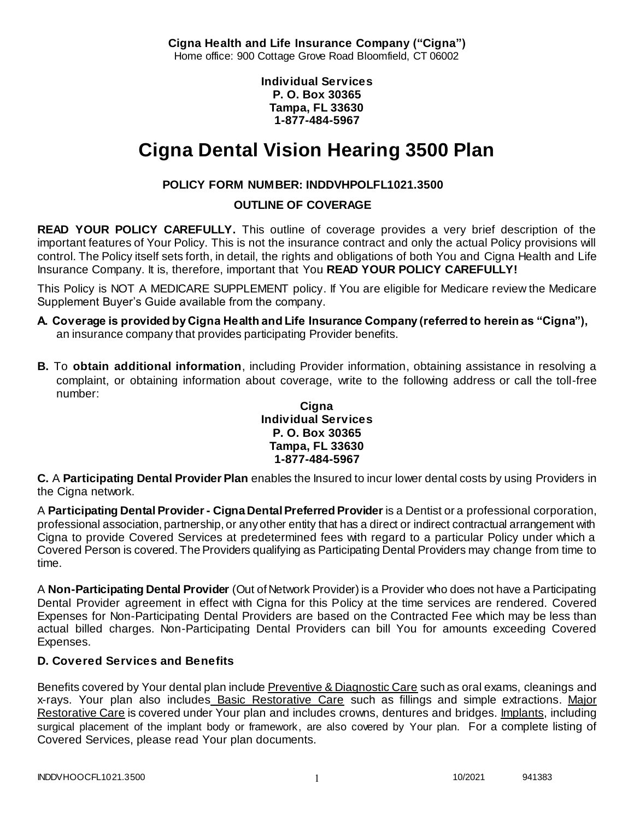**Cigna Health and Life Insurance Company ("Cigna")** Home office: 900 Cottage Grove Road Bloomfield, CT 06002

> **Individual Services P. O. Box 30365 Tampa, FL 33630 1-877-484-5967**

# **Cigna Dental Vision Hearing 3500 Plan**

# **POLICY FORM NUMBER: INDDVHPOLFL1021.3500**

# **OUTLINE OF COVERAGE**

**READ YOUR POLICY CAREFULLY.** This outline of coverage provides a very brief description of the important features of Your Policy. This is not the insurance contract and only the actual Policy provisions will control. The Policy itself sets forth, in detail, the rights and obligations of both You and Cigna Health and Life Insurance Company. It is, therefore, important that You **READ YOUR POLICY CAREFULLY!** 

This Policy is NOT A MEDICARE SUPPLEMENT policy. If You are eligible for Medicare review the Medicare Supplement Buyer's Guide available from the company.

- **A. Coverage is provided by Cigna Health and Life Insurance Company (referred to herein as "Cigna"),**  an insurance company that provides participating Provider benefits.
- **B.** To **obtain additional information**, including Provider information, obtaining assistance in resolving a complaint, or obtaining information about coverage, write to the following address or call the toll-free number:

### **Cigna Individual Services P. O. Box 30365 Tampa, FL 33630 1-877-484-5967**

**C.** A **Participating Dental Provider Plan** enables the Insured to incur lower dental costs by using Providers in the Cigna network.

A **Participating Dental Provider - Cigna Dental Preferred Provider** is a Dentist or a professional corporation, professional association, partnership, or any other entity that has a direct or indirect contractual arrangement with Cigna to provide Covered Services at predetermined fees with regard to a particular Policy under which a Covered Person is covered. The Providers qualifying as Participating Dental Providers may change from time to time.

A **Non-Participating Dental Provider** (Out of Network Provider) is a Provider who does not have a Participating Dental Provider agreement in effect with Cigna for this Policy at the time services are rendered. Covered Expenses for Non-Participating Dental Providers are based on the Contracted Fee which may be less than actual billed charges. Non-Participating Dental Providers can bill You for amounts exceeding Covered Expenses.

# **D. Covered Services and Benefits**

Benefits covered by Your dental plan include Preventive & Diagnostic Care such as oral exams, cleanings and x-rays. Your plan also includes Basic Restorative Care such as fillings and simple extractions. Major Restorative Care is covered under Your plan and includes crowns, dentures and bridges. Implants, including surgical placement of the implant body or framework, are also covered by Your plan. For a complete listing of Covered Services, please read Your plan documents.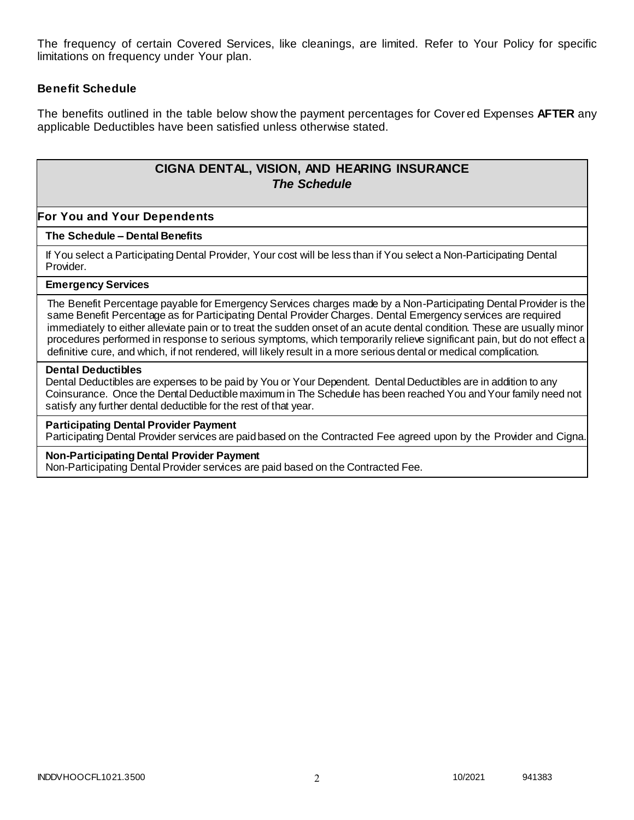The frequency of certain Covered Services, like cleanings, are limited. Refer to Your Policy for specific limitations on frequency under Your plan.

### **Benefit Schedule**

The benefits outlined in the table below show the payment percentages for Cover ed Expenses **AFTER** any applicable Deductibles have been satisfied unless otherwise stated.

# **CIGNA DENTAL, VISION, AND HEARING INSURANCE** *The Schedule*

### **For You and Your Dependents**

#### **The Schedule – Dental Benefits**

If You select a Participating Dental Provider, Your cost will be less than if You select a Non-Participating Dental Provider.

#### **Emergency Services**

The Benefit Percentage payable for Emergency Services charges made by a Non-Participating Dental Provider is the same Benefit Percentage as for Participating Dental Provider Charges. Dental Emergency services are required immediately to either alleviate pain or to treat the sudden onset of an acute dental condition. These are usually minor procedures performed in response to serious symptoms, which temporarily relieve significant pain, but do not effect a definitive cure, and which, if not rendered, will likely result in a more serious dental or medical complication.

#### **Dental Deductibles**

Dental Deductibles are expenses to be paid by You or Your Dependent. Dental Deductibles are in addition to any Coinsurance. Once the Dental Deductible maximum in The Schedule has been reached You and Your family need not satisfy any further dental deductible for the rest of that year.

#### **Participating Dental Provider Payment**

Participating Dental Provider services are paid based on the Contracted Fee agreed upon by the Provider and Cigna.

#### **Non-Participating Dental Provider Payment**

Non-Participating Dental Provider services are paid based on the Contracted Fee.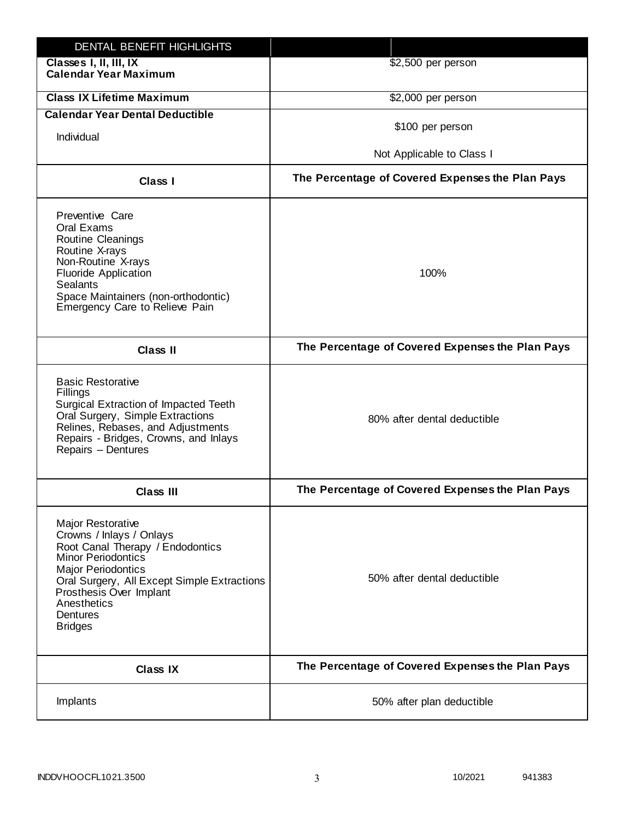| DENTAL BENEFIT HIGHLIGHTS                                                                                                                                                                                                                                                 |                                                  |
|---------------------------------------------------------------------------------------------------------------------------------------------------------------------------------------------------------------------------------------------------------------------------|--------------------------------------------------|
| Classes I, II, III, IX<br><b>Calendar Year Maximum</b>                                                                                                                                                                                                                    | \$2,500 per person                               |
| <b>Class IX Lifetime Maximum</b>                                                                                                                                                                                                                                          | \$2,000 per person                               |
| <b>Calendar Year Dental Deductible</b>                                                                                                                                                                                                                                    |                                                  |
| Individual                                                                                                                                                                                                                                                                | \$100 per person                                 |
|                                                                                                                                                                                                                                                                           | Not Applicable to Class I                        |
| Class I                                                                                                                                                                                                                                                                   | The Percentage of Covered Expenses the Plan Pays |
| Preventive Care<br>Oral Exams<br><b>Routine Cleanings</b><br>Routine X-rays<br>Non-Routine X-rays<br><b>Fluoride Application</b><br><b>Sealants</b><br>Space Maintainers (non-orthodontic)<br>Emergency Care to Relieve Pain                                              | 100%                                             |
| <b>Class II</b>                                                                                                                                                                                                                                                           | The Percentage of Covered Expenses the Plan Pays |
| <b>Basic Restorative</b><br>Fillings<br>Surgical Extraction of Impacted Teeth<br>Oral Surgery, Simple Extractions<br>Relines, Rebases, and Adjustments<br>Repairs - Bridges, Crowns, and Inlays<br>Repairs - Dentures                                                     | 80% after dental deductible                      |
| <b>Class III</b>                                                                                                                                                                                                                                                          | The Percentage of Covered Expenses the Plan Pays |
| <b>Major Restorative</b><br>Crowns / Inlays / Onlays<br>Root Canal Therapy / Endodontics<br><b>Minor Periodontics</b><br><b>Major Periodontics</b><br>Oral Surgery, All Except Simple Extractions<br>Prosthesis Over Implant<br>Anesthetics<br>Dentures<br><b>Bridges</b> | 50% after dental deductible                      |
| <b>Class IX</b>                                                                                                                                                                                                                                                           | The Percentage of Covered Expenses the Plan Pays |
| Implants                                                                                                                                                                                                                                                                  | 50% after plan deductible                        |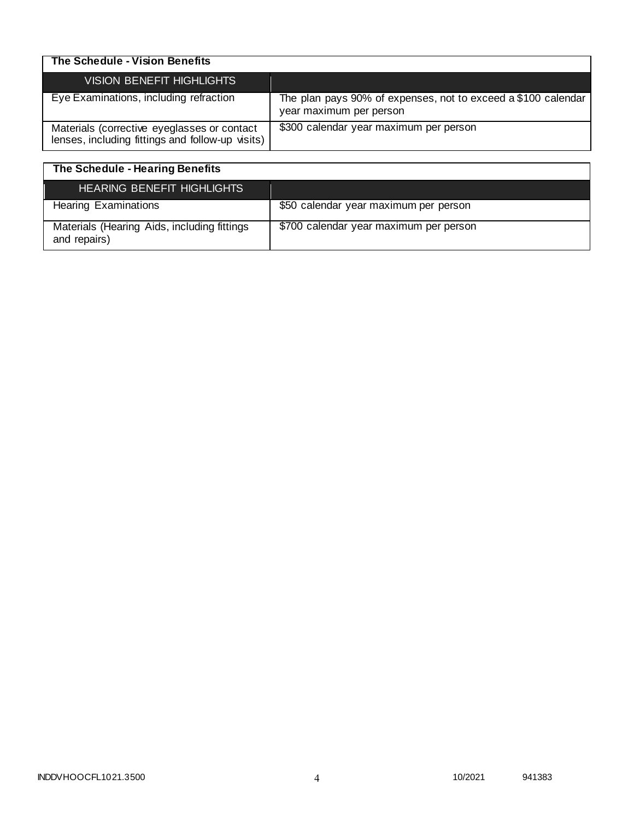| The Schedule - Vision Benefits                                                                  |                                                                                          |
|-------------------------------------------------------------------------------------------------|------------------------------------------------------------------------------------------|
| <b>VISION BENEFIT HIGHLIGHTS</b>                                                                |                                                                                          |
| Eye Examinations, including refraction                                                          | The plan pays 90% of expenses, not to exceed a \$100 calendar<br>year maximum per person |
| Materials (corrective eyeglasses or contact<br>lenses, including fittings and follow-up visits) | \$300 calendar year maximum per person                                                   |

| The Schedule - Hearing Benefits                             |                                        |
|-------------------------------------------------------------|----------------------------------------|
| HEARING BENEFIT HIGHLIGHTS                                  |                                        |
| <b>Hearing Examinations</b>                                 | \$50 calendar year maximum per person  |
| Materials (Hearing Aids, including fittings<br>and repairs) | \$700 calendar year maximum per person |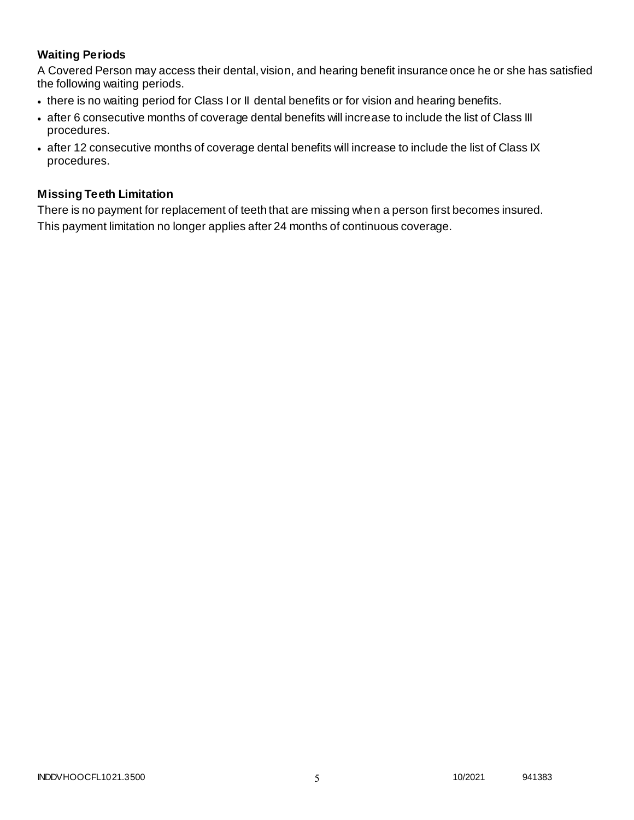# **Waiting Periods**

A Covered Person may access their dental, vision, and hearing benefit insurance once he or she has satisfied the following waiting periods.

- there is no waiting period for Class I or II dental benefits or for vision and hearing benefits.
- after 6 consecutive months of coverage dental benefits will increase to include the list of Class III procedures.
- after 12 consecutive months of coverage dental benefits will increase to include the list of Class IX procedures.

### **Missing Teeth Limitation**

There is no payment for replacement of teeth that are missing when a person first becomes insured. This payment limitation no longer applies after 24 months of continuous coverage.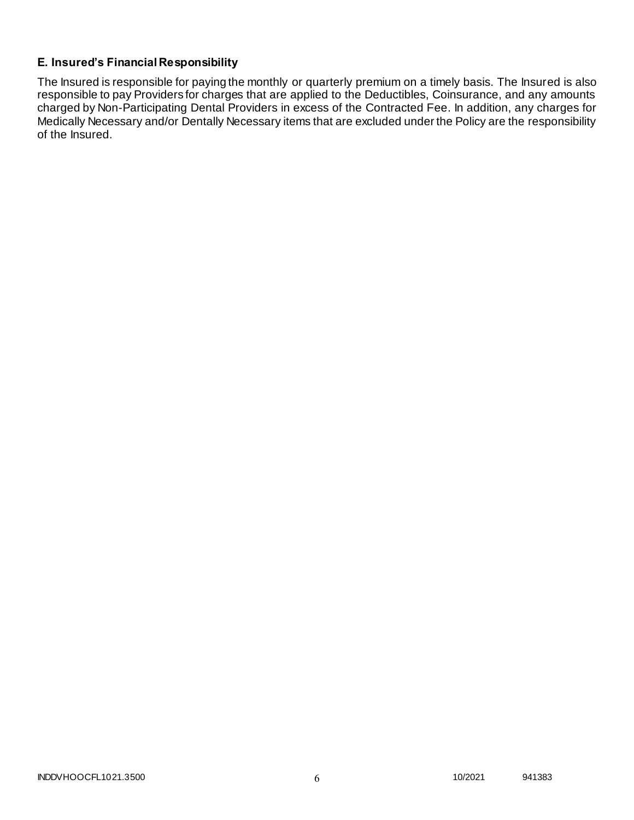# **E. Insured's Financial Responsibility**

The Insured is responsible for paying the monthly or quarterly premium on a timely basis. The Insured is also responsible to pay Providers for charges that are applied to the Deductibles, Coinsurance, and any amounts charged by Non-Participating Dental Providers in excess of the Contracted Fee. In addition, any charges for Medically Necessary and/or Dentally Necessary items that are excluded under the Policy are the responsibility of the Insured.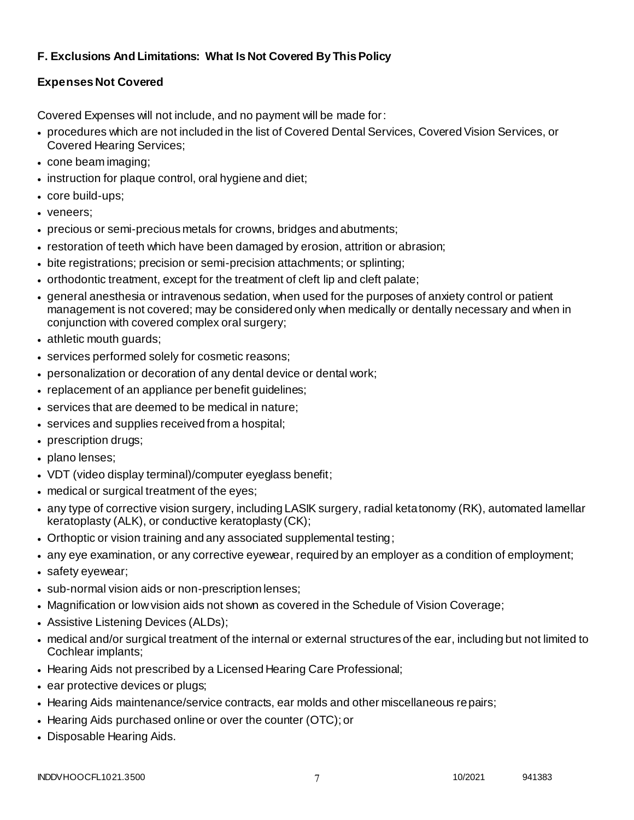# **F. Exclusions And Limitations: What Is Not Covered By This Policy**

# **Expenses Not Covered**

Covered Expenses will not include, and no payment will be made for:

- procedures which are not included in the list of Covered Dental Services, Covered Vision Services, or Covered Hearing Services;
- cone beam imaging;
- instruction for plaque control, oral hygiene and diet;
- core build-ups;
- veneers;
- precious or semi-precious metals for crowns, bridges and abutments;
- restoration of teeth which have been damaged by erosion, attrition or abrasion;
- bite registrations; precision or semi-precision attachments; or splinting;
- orthodontic treatment, except for the treatment of cleft lip and cleft palate;
- general anesthesia or intravenous sedation, when used for the purposes of anxiety control or patient management is not covered; may be considered only when medically or dentally necessary and when in conjunction with covered complex oral surgery;
- athletic mouth guards;
- services performed solely for cosmetic reasons;
- personalization or decoration of any dental device or dental work;
- replacement of an appliance per benefit guidelines;
- services that are deemed to be medical in nature;
- services and supplies received from a hospital;
- prescription drugs;
- plano lenses;
- VDT (video display terminal)/computer eyeglass benefit;
- medical or surgical treatment of the eyes;
- any type of corrective vision surgery, including LASIK surgery, radial ketatonomy (RK), automated lamellar keratoplasty (ALK), or conductive keratoplasty (CK);
- Orthoptic or vision training and any associated supplemental testing;
- any eye examination, or any corrective eyewear, required by an employer as a condition of employment;
- safety eyewear;
- sub-normal vision aids or non-prescription lenses;
- Magnification or low vision aids not shown as covered in the Schedule of Vision Coverage;
- Assistive Listening Devices (ALDs);
- medical and/or surgical treatment of the internal or external structures of the ear, including but not limited to Cochlear implants;
- Hearing Aids not prescribed by a Licensed Hearing Care Professional;
- ear protective devices or plugs;
- Hearing Aids maintenance/service contracts, ear molds and other miscellaneous repairs;
- Hearing Aids purchased online or over the counter (OTC); or
- Disposable Hearing Aids.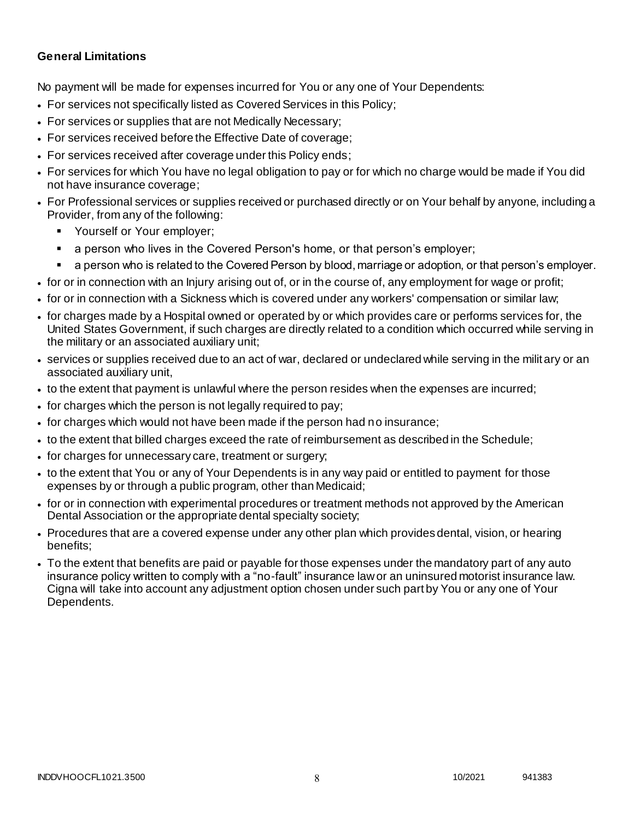### **General Limitations**

No payment will be made for expenses incurred for You or any one of Your Dependents:

- For services not specifically listed as Covered Services in this Policy;
- For services or supplies that are not Medically Necessary;
- For services received before the Effective Date of coverage;
- For services received after coverage under this Policy ends;
- For services for which You have no legal obligation to pay or for which no charge would be made if You did not have insurance coverage;
- For Professional services or supplies received or purchased directly or on Your behalf by anyone, including a Provider, from any of the following:
	- Yourself or Your employer;
	- a person who lives in the Covered Person's home, or that person's employer;
	- a person who is related to the Covered Person by blood, marriage or adoption, or that person's employer.
- for or in connection with an Injury arising out of, or in the course of, any employment for wage or profit;
- for or in connection with a Sickness which is covered under any workers' compensation or similar law;
- for charges made by a Hospital owned or operated by or which provides care or performs services for, the United States Government, if such charges are directly related to a condition which occurred while serving in the military or an associated auxiliary unit;
- services or supplies received due to an act of war, declared or undeclared while serving in the military or an associated auxiliary unit,
- to the extent that payment is unlawful where the person resides when the expenses are incurred;
- for charges which the person is not legally required to pay;
- for charges which would not have been made if the person had no insurance;
- to the extent that billed charges exceed the rate of reimbursement as described in the Schedule;
- for charges for unnecessary care, treatment or surgery;
- to the extent that You or any of Your Dependents is in any way paid or entitled to payment for those expenses by or through a public program, other than Medicaid;
- for or in connection with experimental procedures or treatment methods not approved by the American Dental Association or the appropriate dental specialty society;
- Procedures that are a covered expense under any other plan which provides dental, vision, or hearing benefits;
- To the extent that benefits are paid or payable for those expenses under the mandatory part of any auto insurance policy written to comply with a "no-fault" insurance law or an uninsured motorist insurance law. Cigna will take into account any adjustment option chosen under such part by You or any one of Your Dependents.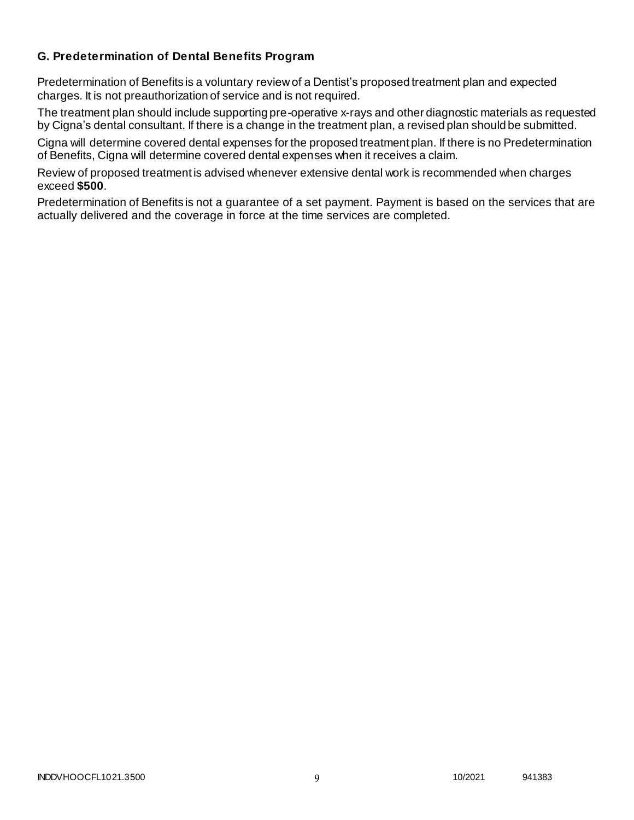## **G. Predetermination of Dental Benefits Program**

Predetermination of Benefits is a voluntary review of a Dentist's proposed treatment plan and expected charges. It is not preauthorization of service and is not required.

The treatment plan should include supporting pre-operative x-rays and other diagnostic materials as requested by Cigna's dental consultant. If there is a change in the treatment plan, a revised plan should be submitted.

Cigna will determine covered dental expenses for the proposed treatment plan. If there is no Predetermination of Benefits, Cigna will determine covered dental expenses when it receives a claim.

Review of proposed treatment is advised whenever extensive dental work is recommended when charges exceed **\$500**.

Predetermination of Benefits is not a guarantee of a set payment. Payment is based on the services that are actually delivered and the coverage in force at the time services are completed.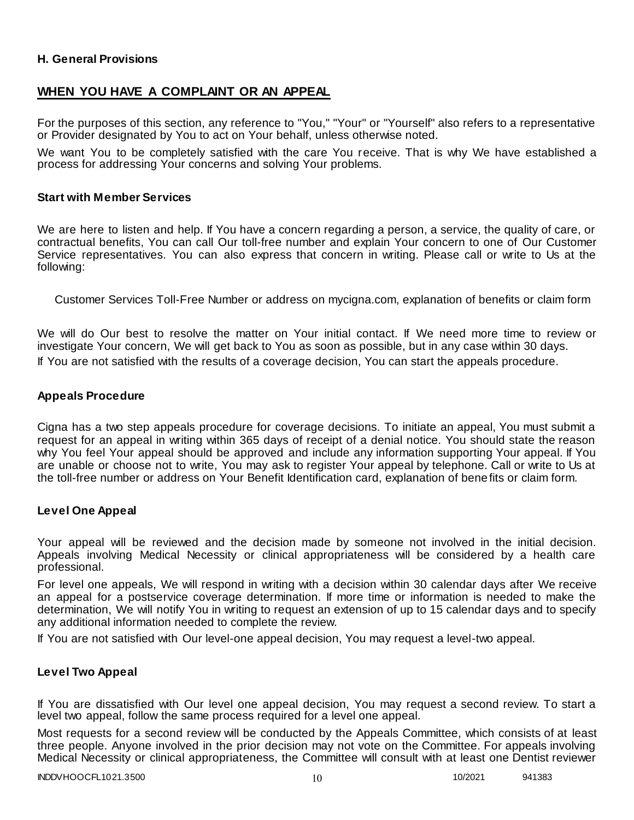### **H. General Provisions**

## **WHEN YOU HAVE A COMPLAINT OR AN APPEAL**

For the purposes of this section, any reference to "You," "Your" or "Yourself" also refers to a representative or Provider designated by You to act on Your behalf, unless otherwise noted.

We want You to be completely satisfied with the care You receive. That is why We have established a process for addressing Your concerns and solving Your problems.

#### **Start with Member Services**

We are here to listen and help. If You have a concern regarding a person, a service, the quality of care, or contractual benefits, You can call Our toll-free number and explain Your concern to one of Our Customer Service representatives. You can also express that concern in writing. Please call or write to Us at the following:

Customer Services Toll-Free Number or address on mycigna.com, explanation of benefits or claim form

We will do Our best to resolve the matter on Your initial contact. If We need more time to review or investigate Your concern, We will get back to You as soon as possible, but in any case within 30 days. If You are not satisfied with the results of a coverage decision, You can start the appeals procedure.

#### **Appeals Procedure**

Cigna has a two step appeals procedure for coverage decisions. To initiate an appeal, You must submit a request for an appeal in writing within 365 days of receipt of a denial notice. You should state the reason why You feel Your appeal should be approved and include any information supporting Your appeal. If You are unable or choose not to write, You may ask to register Your appeal by telephone. Call or write to Us at the toll-free number or address on Your Benefit Identification card, explanation of benefits or claim form.

#### **Level One Appeal**

Your appeal will be reviewed and the decision made by someone not involved in the initial decision. Appeals involving Medical Necessity or clinical appropriateness will be considered by a health care professional.

For level one appeals, We will respond in writing with a decision within 30 calendar days after We receive an appeal for a postservice coverage determination. If more time or information is needed to make the determination, We will notify You in writing to request an extension of up to 15 calendar days and to specify any additional information needed to complete the review.

If You are not satisfied with Our level-one appeal decision, You may request a level-two appeal.

### **Level Two Appeal**

If You are dissatisfied with Our level one appeal decision, You may request a second review. To start a level two appeal, follow the same process required for a level one appeal.

Most requests for a second review will be conducted by the Appeals Committee, which consists of at least three people. Anyone involved in the prior decision may not vote on the Committee. For appeals involving Medical Necessity or clinical appropriateness, the Committee will consult with at least one Dentist reviewer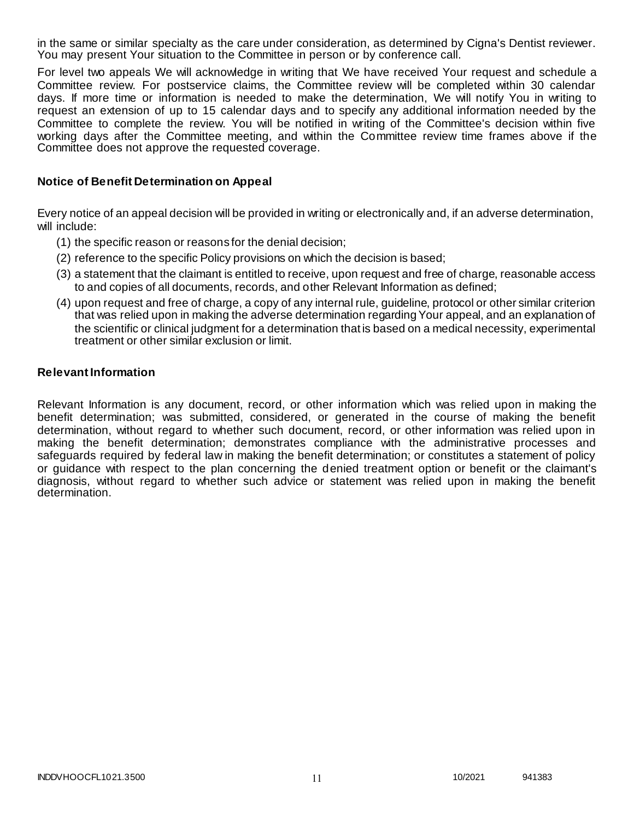in the same or similar specialty as the care under consideration, as determined by Cigna's Dentist reviewer. You may present Your situation to the Committee in person or by conference call.

For level two appeals We will acknowledge in writing that We have received Your request and schedule a Committee review. For postservice claims, the Committee review will be completed within 30 calendar days. If more time or information is needed to make the determination, We will notify You in writing to request an extension of up to 15 calendar days and to specify any additional information needed by the Committee to complete the review. You will be notified in writing of the Committee's decision within five working days after the Committee meeting, and within the Committee review time frames above if the Committee does not approve the requested coverage.

### **Notice of Benefit Determination on Appeal**

Every notice of an appeal decision will be provided in writing or electronically and, if an adverse determination, will include:

- (1) the specific reason or reasons for the denial decision;
- (2) reference to the specific Policy provisions on which the decision is based;
- (3) a statement that the claimant is entitled to receive, upon request and free of charge, reasonable access to and copies of all documents, records, and other Relevant Information as defined;
- (4) upon request and free of charge, a copy of any internal rule, guideline, protocol or other similar criterion that was relied upon in making the adverse determination regarding Your appeal, and an explanation of the scientific or clinical judgment for a determination that is based on a medical necessity, experimental treatment or other similar exclusion or limit.

#### **Relevant Information**

Relevant Information is any document, record, or other information which was relied upon in making the benefit determination; was submitted, considered, or generated in the course of making the benefit determination, without regard to whether such document, record, or other information was relied upon in making the benefit determination; demonstrates compliance with the administrative processes and safeguards required by federal law in making the benefit determination; or constitutes a statement of policy or guidance with respect to the plan concerning the denied treatment option or benefit or the claimant's diagnosis, without regard to whether such advice or statement was relied upon in making the benefit determination.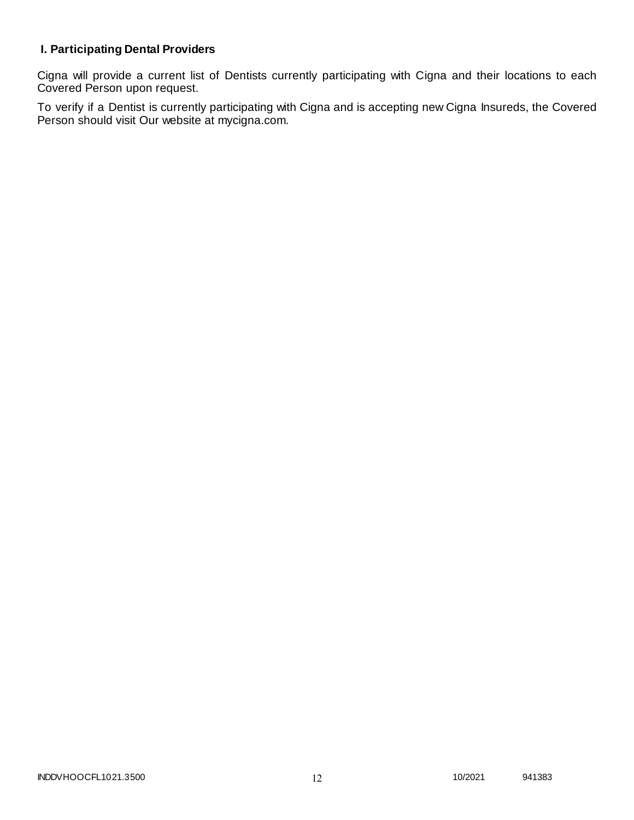# **I. Participating Dental Providers**

Cigna will provide a current list of Dentists currently participating with Cigna and their locations to each Covered Person upon request.

To verify if a Dentist is currently participating with Cigna and is accepting new Cigna Insureds, the Covered Person should visit Our website at mycigna.com.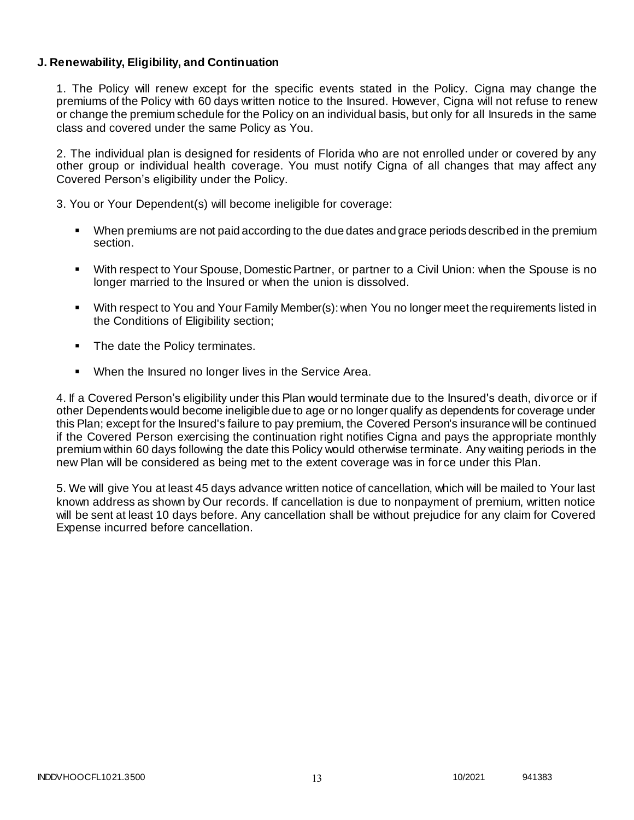### **J. Renewability, Eligibility, and Continuation**

1. The Policy will renew except for the specific events stated in the Policy. Cigna may change the premiums of the Policy with 60 days written notice to the Insured. However, Cigna will not refuse to renew or change the premium schedule for the Policy on an individual basis, but only for all Insureds in the same class and covered under the same Policy as You.

2. The individual plan is designed for residents of Florida who are not enrolled under or covered by any other group or individual health coverage. You must notify Cigna of all changes that may affect any Covered Person's eligibility under the Policy.

3. You or Your Dependent(s) will become ineligible for coverage:

- When premiums are not paid according to the due dates and grace periods described in the premium section.
- With respect to Your Spouse, Domestic Partner, or partner to a Civil Union: when the Spouse is no longer married to the Insured or when the union is dissolved.
- With respect to You and Your Family Member(s): when You no longer meet the requirements listed in the Conditions of Eligibility section;
- The date the Policy terminates.
- When the Insured no longer lives in the Service Area.

4. If a Covered Person's eligibility under this Plan would terminate due to the Insured's death, divorce or if other Dependents would become ineligible due to age or no longer qualify as dependents for coverage under this Plan; except for the Insured's failure to pay premium, the Covered Person's insurance will be continued if the Covered Person exercising the continuation right notifies Cigna and pays the appropriate monthly premium within 60 days following the date this Policy would otherwise terminate. Any waiting periods in the new Plan will be considered as being met to the extent coverage was in for ce under this Plan.

5. We will give You at least 45 days advance written notice of cancellation, which will be mailed to Your last known address as shown by Our records. If cancellation is due to nonpayment of premium, written notice will be sent at least 10 days before. Any cancellation shall be without prejudice for any claim for Covered Expense incurred before cancellation.